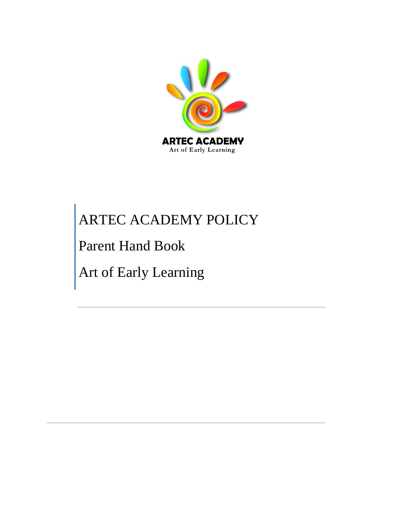

# Parent Hand Book

Art of Early Learning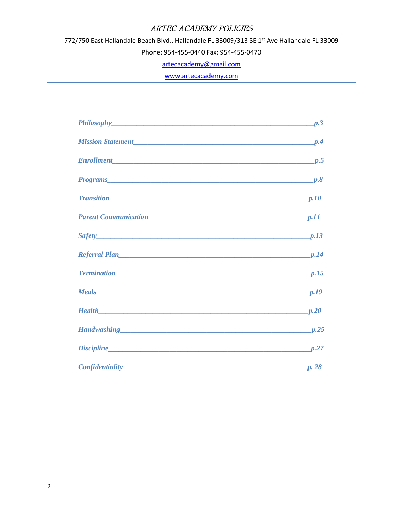772/750 East Hallandale Beach Blvd., Hallandale FL 33009/313 SE 1<sup>st</sup> Ave Hallandale FL 33009

Phone: 954-455-0440 Fax: 954-455-0470

[artecacademy@gmail.com](mailto:artecacademy@gmail.com)

[www.artecacademy.com](http://www.artecacademy.com/)

| Mission Statement PA Property and Participate Participate Participate Participate Participate Participate Participate Participate Participate Participate Participate Participate Participate Participate Participate Particip |  |
|--------------------------------------------------------------------------------------------------------------------------------------------------------------------------------------------------------------------------------|--|
| <b>Enrollment</b> <i>p.5</i> p.5                                                                                                                                                                                               |  |
| Programs p.8                                                                                                                                                                                                                   |  |
|                                                                                                                                                                                                                                |  |
|                                                                                                                                                                                                                                |  |
| $Safety$ p.13                                                                                                                                                                                                                  |  |
| Referral Plan p.14                                                                                                                                                                                                             |  |
|                                                                                                                                                                                                                                |  |
|                                                                                                                                                                                                                                |  |
|                                                                                                                                                                                                                                |  |
| Handwashing p.25                                                                                                                                                                                                               |  |
| Discipline p.27                                                                                                                                                                                                                |  |
| Confidentiality p. 28                                                                                                                                                                                                          |  |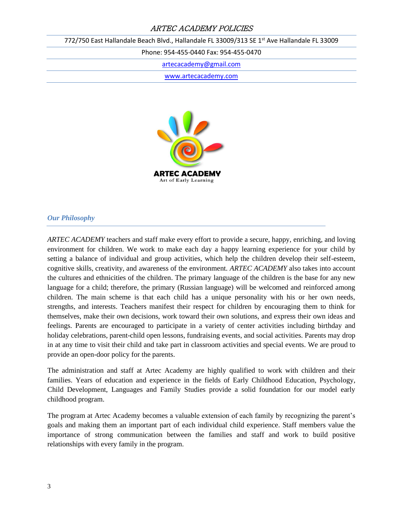772/750 East Hallandale Beach Blvd., Hallandale FL 33009/313 SE 1<sup>st</sup> Ave Hallandale FL 33009

Phone: 954-455-0440 Fax: 954-455-0470

[artecacademy@gmail.com](mailto:artecacademy@gmail.com)

[www.artecacademy.com](http://www.artecacademy.com/)



#### *Our Philosophy*

*ARTEC ACADEMY* teachers and staff make every effort to provide a secure, happy, enriching, and loving environment for children. We work to make each day a happy learning experience for your child by setting a balance of individual and group activities, which help the children develop their self-esteem, cognitive skills, creativity, and awareness of the environment. *ARTEC ACADEMY* also takes into account the cultures and ethnicities of the children. The primary language of the children is the base for any new language for a child; therefore, the primary (Russian language) will be welcomed and reinforced among children. The main scheme is that each child has a unique personality with his or her own needs, strengths, and interests. Teachers manifest their respect for children by encouraging them to think for themselves, make their own decisions, work toward their own solutions, and express their own ideas and feelings. Parents are encouraged to participate in a variety of center activities including birthday and holiday celebrations, parent-child open lessons, fundraising events, and social activities. Parents may drop in at any time to visit their child and take part in classroom activities and special events. We are proud to provide an open-door policy for the parents.

The administration and staff at Artec Academy are highly qualified to work with children and their families. Years of education and experience in the fields of Early Childhood Education, Psychology, Child Development, Languages and Family Studies provide a solid foundation for our model early childhood program.

The program at Artec Academy becomes a valuable extension of each family by recognizing the parent's goals and making them an important part of each individual child experience. Staff members value the importance of strong communication between the families and staff and work to build positive relationships with every family in the program.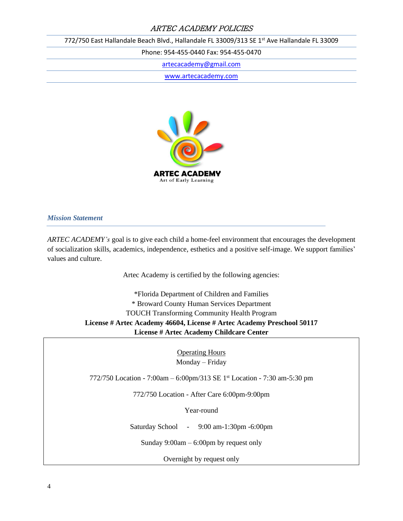772/750 East Hallandale Beach Blvd., Hallandale FL 33009/313 SE 1<sup>st</sup> Ave Hallandale FL 33009

Phone: 954-455-0440 Fax: 954-455-0470

[artecacademy@gmail.com](mailto:artecacademy@gmail.com)

[www.artecacademy.com](http://www.artecacademy.com/)



*Mission Statement*

*ARTEC ACADEMY's* goal is to give each child a home-feel environment that encourages the development of socialization skills, academics, independence, esthetics and a positive self-image. We support families' values and culture.

Artec Academy is certified by the following agencies:

\*Florida Department of Children and Families \* Broward County Human Services Department TOUCH Transforming Community Health Program **License # Artec Academy 46604, License # Artec Academy Preschool 50117 License # Artec Academy Childcare Center**

> Operating Hours Monday – Friday

772/750 Location - 7:00am – 6:00pm/313 SE 1st Location - 7:30 am-5:30 pm

772/750 Location - After Care 6:00pm-9:00pm

Year-round

Saturday School - 9:00 am-1:30pm -6:00pm

Sunday 9:00am – 6:00pm by request only

Overnight by request only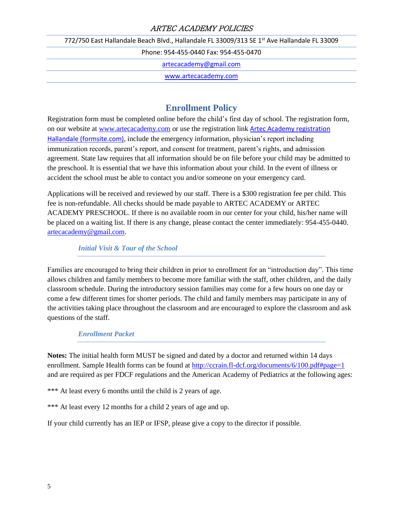772/750 East Hallandale Beach Blvd., Hallandale FL 33009/313 SE 1<sup>st</sup> Ave Hallandale FL 33009

Phone: 954-455-0440 Fax: 954-455-0470

[artecacademy@gmail.com](mailto:artecacademy@gmail.com)

[www.artecacademy.com](http://www.artecacademy.com/)

# **Enrollment Policy**

Registration form must be completed online before the child's first day of school. The registration form, on our website at [www.artecacademy.com](http://www.artecacademy.com/) or use the registration link [Artec Academy registration](https://fs30.formsite.com/Guidestar01/ArtecAcademyHallandale/form_login.html)  [Hallandale \(formsite.com\)](https://fs30.formsite.com/Guidestar01/ArtecAcademyHallandale/form_login.html), include the emergency information, physician's report including immunization records, parent's report, and consent for treatment, parent's rights, and admission agreement. State law requires that all information should be on file before your child may be admitted to the preschool. It is essential that we have this information about your child. In the event of illness or accident the school must be able to contact you and/or someone on your emergency card.

Applications will be received and reviewed by our staff. There is a \$300 registration fee per child. This fee is non-refundable. All checks should be made payable to ARTEC ACADEMY or ARTEC ACADEMY PRESCHOOL. If there is no available room in our center for your child, his/her name will be placed on a waiting list. If there is any change, please contact the center immediately: 954-455-0440. [artecacademy@gmail.com.](mailto:artecacademy@gmail.com)

#### *Initial Visit & Tour of the School*

Families are encouraged to bring their children in prior to enrollment for an "introduction day". This time allows children and family members to become more familiar with the staff, other children, and the daily classroom schedule. During the introductory session families may come for a few hours on one day or come a few different times for shorter periods. The child and family members may participate in any of the activities taking place throughout the classroom and are encouraged to explore the classroom and ask questions of the staff.

#### *Enrollment Packet*

**Notes:** The initial health form MUST be signed and dated by a doctor and returned within 14 days enrollment. Sample Health forms can be found at<http://ccrain.fl-dcf.org/documents/6/100.pdf#page=1> and are required as per FDCF regulations and the American Academy of Pediatrics at the following ages:

\*\*\* At least every 6 months until the child is 2 years of age.

\*\*\* At least every 12 months for a child 2 years of age and up.

If your child currently has an IEP or IFSP, please give a copy to the director if possible.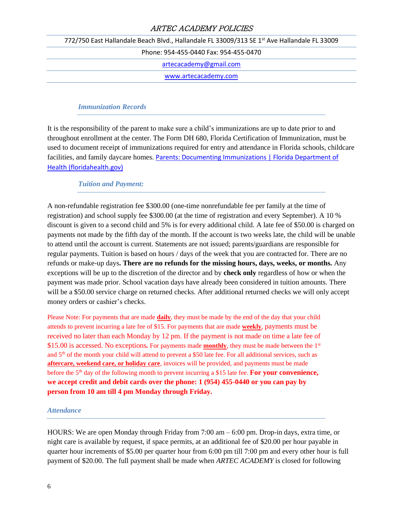772/750 East Hallandale Beach Blvd., Hallandale FL 33009/313 SE 1<sup>st</sup> Ave Hallandale FL 33009

Phone: 954-455-0440 Fax: 954-455-0470

[artecacademy@gmail.com](mailto:artecacademy@gmail.com)

[www.artecacademy.com](http://www.artecacademy.com/)

#### *Immunization Records*

It is the responsibility of the parent to make sure a child's immunizations are up to date prior to and throughout enrollment at the center. The Form DH 680, Florida Certification of Immunization, must be used to document receipt of immunizations required for entry and attendance in Florida schools, childcare facilities, and family daycare homes. [Parents: Documenting Immunizations | Florida Department of](http://www.floridahealth.gov/programs-and-services/immunization/children-and-adolescents/documenting-immunizations/index.html#:~:text=The%20Form%20DH%20680%2C%20Florida%20Certification%20of%20Immunization%2C,Provider%20Today%20About%20Creating%20An%20Electronic%20Immunization%20Record)  [Health \(floridahealth.gov\)](http://www.floridahealth.gov/programs-and-services/immunization/children-and-adolescents/documenting-immunizations/index.html#:~:text=The%20Form%20DH%20680%2C%20Florida%20Certification%20of%20Immunization%2C,Provider%20Today%20About%20Creating%20An%20Electronic%20Immunization%20Record)

#### *Tuition and Payment:*

A non-refundable registration fee \$300.00 (one-time nonrefundable fee per family at the time of registration) and school supply fee \$300.00 (at the time of registration and every September). A 10 % discount is given to a second child and 5% is for every additional child. A late fee of \$50.00 is charged on payments not made by the fifth day of the month. If the account is two weeks late, the child will be unable to attend until the account is current. Statements are not issued; parents/guardians are responsible for regular payments. Tuition is based on hours / days of the week that you are contracted for. There are no refunds or make-up days**. There are no refunds for the missing hours, days, weeks, or months.** Any exceptions will be up to the discretion of the director and by **check only** regardless of how or when the payment was made prior. School vacation days have already been considered in tuition amounts. There will be a \$50.00 service charge on returned checks. After additional returned checks we will only accept money orders or cashier's checks.

Please Note: For payments that are made **daily**, they must be made by the end of the day that your child attends to prevent incurring a late fee of \$15. For payments that are made **weekly**, payments must be received no later than each Monday by 12 pm. If the payment is not made on time a late fee of \$15.00 is accessed. No exceptions*.* For payments made **monthly**, they must be made between the 1st and 5<sup>th</sup> of the month your child will attend to prevent a \$50 late fee. For all additional services, such as **aftercare, weekend care, or holiday care**, invoices will be provided, and payments must be made before the 5<sup>th</sup> day of the following month to prevent incurring a \$15 late fee. **For your convenience, we accept credit and debit cards over the phone: 1 (954) 455-0440 or you can pay by person from 10 am till 4 pm Monday through Friday.**

#### *Attendance*

HOURS: We are open Monday through Friday from 7:00 am – 6:00 pm. Drop-in days, extra time, or night care is available by request, if space permits, at an additional fee of \$20.00 per hour payable in quarter hour increments of \$5.00 per quarter hour from 6:00 pm till 7:00 pm and every other hour is full payment of \$20.00. The full payment shall be made when *ARTEC ACADEMY* is closed for following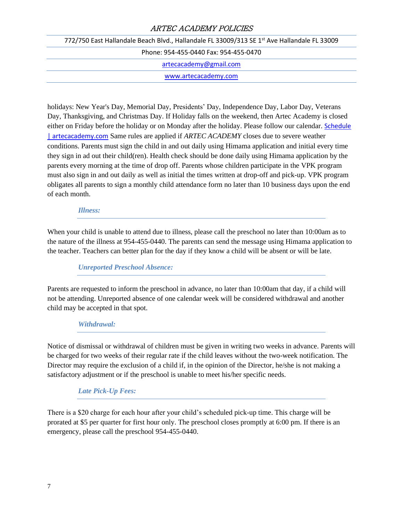| 772/750 East Hallandale Beach Blvd., Hallandale FL 33009/313 SE 1st Ave Hallandale FL 33009 |                      |
|---------------------------------------------------------------------------------------------|----------------------|
| Phone: 954-455-0440 Fax: 954-455-0470                                                       |                      |
| artecacademy@gmail.com                                                                      |                      |
|                                                                                             | www.artecacademy.com |
|                                                                                             |                      |

holidays: New Year's Day, Memorial Day, Presidents' Day, Independence Day, Labor Day, Veterans Day, Thanksgiving, and Christmas Day. If Holiday falls on the weekend, then Artec Academy is closed either on Friday before the holiday or on Monday after the holiday. Please follow our calendar. [Schedule](https://artecacademy.com/schedule/#calendar)  [| artecacademy.com](https://artecacademy.com/schedule/#calendar) Same rules are applied if *ARTEC ACADEMY* closes due to severe weather conditions. Parents must sign the child in and out daily using Himama application and initial every time they sign in ad out their child(ren). Health check should be done daily using Himama application by the parents every morning at the time of drop off. Parents whose children participate in the VPK program must also sign in and out daily as well as initial the times written at drop-off and pick-up. VPK program obligates all parents to sign a monthly child attendance form no later than 10 business days upon the end of each month.

#### *Illness:*

When your child is unable to attend due to illness, please call the preschool no later than 10:00am as to the nature of the illness at 954-455-0440. The parents can send the message using Himama application to the teacher. Teachers can better plan for the day if they know a child will be absent or will be late.

#### *Unreported Preschool Absence:*

Parents are requested to inform the preschool in advance, no later than 10:00am that day, if a child will not be attending. Unreported absence of one calendar week will be considered withdrawal and another child may be accepted in that spot.

#### *Withdrawal:*

Notice of dismissal or withdrawal of children must be given in writing two weeks in advance. Parents will be charged for two weeks of their regular rate if the child leaves without the two-week notification. The Director may require the exclusion of a child if, in the opinion of the Director, he/she is not making a satisfactory adjustment or if the preschool is unable to meet his/her specific needs.

#### *Late Pick-Up Fees:*

There is a \$20 charge for each hour after your child's scheduled pick-up time. This charge will be prorated at \$5 per quarter for first hour only. The preschool closes promptly at 6:00 pm. If there is an emergency, please call the preschool 954-455-0440.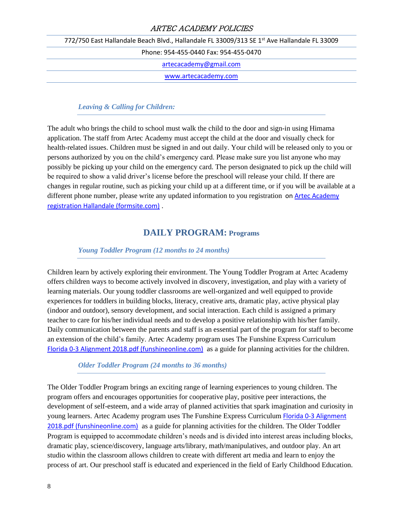772/750 East Hallandale Beach Blvd., Hallandale FL 33009/313 SE 1<sup>st</sup> Ave Hallandale FL 33009

Phone: 954-455-0440 Fax: 954-455-0470

[artecacademy@gmail.com](mailto:artecacademy@gmail.com)

[www.artecacademy.com](http://www.artecacademy.com/)

#### *Leaving & Calling for Children:*

The adult who brings the child to school must walk the child to the door and sign-in using Himama application. The staff from Artec Academy must accept the child at the door and visually check for health-related issues. Children must be signed in and out daily. Your child will be released only to you or persons authorized by you on the child's emergency card. Please make sure you list anyone who may possibly be picking up your child on the emergency card. The person designated to pick up the child will be required to show a valid driver's license before the preschool will release your child. If there are changes in regular routine, such as picking your child up at a different time, or if you will be available at a different phone number, please write any updated information to you registration o[n Artec Academy](https://fs30.formsite.com/Guidestar01/ArtecAcademyHallandale/form_login.html)  [registration Hallandale \(formsite.com\)](https://fs30.formsite.com/Guidestar01/ArtecAcademyHallandale/form_login.html) .

# **DAILY PROGRAM: Programs**

#### *Young Toddler Program (12 months to 24 months)*

Children learn by actively exploring their environment. The Young Toddler Program at Artec Academy offers children ways to become actively involved in discovery, investigation, and play with a variety of learning materials. Our young toddler classrooms are well-organized and well equipped to provide experiences for toddlers in building blocks, literacy, creative arts, dramatic play, active physical play (indoor and outdoor), sensory development, and social interaction. Each child is assigned a primary teacher to care for his/her individual needs and to develop a positive relationship with his/her family. Daily communication between the parents and staff is an essential part of the program for staff to become an extension of the child's family. Artec Academy program uses The Funshine Express Curriculum [Florida 0-3 Alignment 2018.pdf \(funshineonline.com\)](https://www.funshineonline.com/docs/Florida%200-3%20Alignment%202018.pdf?sdx=q2vsM8pTYFv4cnsENg3zCaJ3BuOXoYr-KQUuXUqwLO3H8QxiHrnmsSgXwPZnmUY1qwahDegH7uB5f7k0gEA4aqGY-Wx9aMmTPglL) as a guide for planning activities for the children.

*Older Toddler Program (24 months to 36 months)*

The Older Toddler Program brings an exciting range of learning experiences to young children. The program offers and encourages opportunities for cooperative play, positive peer interactions, the development of self-esteem, and a wide array of planned activities that spark imagination and curiosity in young learners. Artec Academy program uses The Funshine Express Curriculum Florida 0-3 Alignment [2018.pdf \(funshineonline.com\)](https://www.funshineonline.com/docs/Florida%200-3%20Alignment%202018.pdf?sdx=q2vsM8pTYFv4cnsENg3zCaJ3BuOXoYr-KQUuXUqwLO3H8QxiHrnmsSgXwPZnmUY1qwahDegH7uB5f7k0gEA4aqGY-Wx9aMmTPglL) as a guide for planning activities for the children. The Older Toddler Program is equipped to accommodate children's needs and is divided into interest areas including blocks, dramatic play, science/discovery, language arts/library, math/manipulatives, and outdoor play. An art studio within the classroom allows children to create with different art media and learn to enjoy the process of art. Our preschool staff is educated and experienced in the field of Early Childhood Education.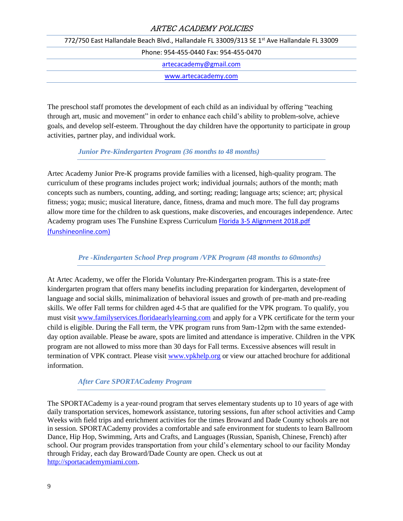772/750 East Hallandale Beach Blvd., Hallandale FL 33009/313 SE 1<sup>st</sup> Ave Hallandale FL 33009 Phone: 954-455-0440 Fax: 954-455-0470 [artecacademy@gmail.com](mailto:artecacademy@gmail.com) [www.artecacademy.com](http://www.artecacademy.com/)

The preschool staff promotes the development of each child as an individual by offering "teaching through art, music and movement" in order to enhance each child's ability to problem-solve, achieve goals, and develop self-esteem. Throughout the day children have the opportunity to participate in group activities, partner play, and individual work.

#### *Junior Pre-Kindergarten Program (36 months to 48 months)*

Artec Academy Junior Pre-K programs provide families with a licensed, high-quality program. The curriculum of these programs includes project work; individual journals; authors of the month; math concepts such as numbers, counting, adding, and sorting; reading; language arts; science; art; physical fitness; yoga; music; musical literature, dance, fitness, drama and much more. The full day programs allow more time for the children to ask questions, make discoveries, and encourages independence. Artec Academy program uses The Funshine Express Curriculum [Florida 3-5 Alignment 2018.pdf](https://www.funshineonline.com/docs/Florida%203-5%20Alignment%202018.pdf?sdx=q2vsM8pTYFv4cnsENg3zCaJ3BuOXoYr-KQUuXUqwLO3H8QxiHrnmsSgXwPZnmUY1qwahDegH7uB5f7k0gEA4aqaR-W17aMmTPglL)  [\(funshineonline.com\)](https://www.funshineonline.com/docs/Florida%203-5%20Alignment%202018.pdf?sdx=q2vsM8pTYFv4cnsENg3zCaJ3BuOXoYr-KQUuXUqwLO3H8QxiHrnmsSgXwPZnmUY1qwahDegH7uB5f7k0gEA4aqaR-W17aMmTPglL)

*Pre -Kindergarten School Prep program /VPK Program (48 months to 60months)*

At Artec Academy, we offer the Florida Voluntary Pre-Kindergarten program. This is a state-free kindergarten program that offers many benefits including preparation for kindergarten, development of language and social skills, minimalization of behavioral issues and growth of pre-math and pre-reading skills. We offer Fall terms for children aged 4-5 that are qualified for the VPK program. To qualify, you must visit [www.familyservices.floridaearlylearning.com](http://www.familyservices.floridaearlylearning.com/) and apply for a VPK certificate for the term your child is eligible. During the Fall term, the VPK program runs from 9am-12pm with the same extendedday option available. Please be aware, spots are limited and attendance is imperative. Children in the VPK program are not allowed to miss more than 30 days for Fall terms. Excessive absences will result in termination of VPK contract. Please visit [www.vpkhelp.org](http://www.vpkhelp.org/) or view our attached brochure for additional information.

#### *After Care SPORTACademy Program*

The SPORTACademy is a year-round program that serves elementary students up to 10 years of age with daily transportation services, homework assistance, tutoring sessions, fun after school activities and Camp Weeks with field trips and enrichment activities for the times Broward and Dade County schools are not in session. SPORTACademy provides a comfortable and safe environment for students to learn Ballroom Dance, Hip Hop, Swimming, Arts and Crafts, and Languages (Russian, Spanish, Chinese, French) after school. Our program provides transportation from your child's elementary school to our facility Monday through Friday, each day Broward/Dade County are open. Check us out at [http://sportacademymiami.com.](http://sportacademymiami.com/)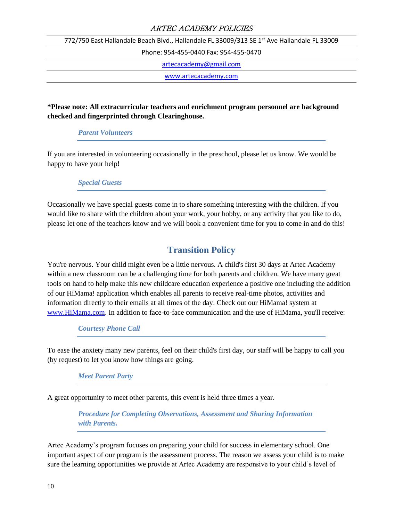772/750 East Hallandale Beach Blvd., Hallandale FL 33009/313 SE 1<sup>st</sup> Ave Hallandale FL 33009

Phone: 954-455-0440 Fax: 954-455-0470

[artecacademy@gmail.com](mailto:artecacademy@gmail.com)

[www.artecacademy.com](http://www.artecacademy.com/)

## **\*Please note: All extracurricular teachers and enrichment program personnel are background checked and fingerprinted through Clearinghouse.**

#### *Parent Volunteers*

If you are interested in volunteering occasionally in the preschool, please let us know. We would be happy to have your help!

#### *Special Guests*

Occasionally we have special guests come in to share something interesting with the children. If you would like to share with the children about your work, your hobby, or any activity that you like to do, please let one of the teachers know and we will book a convenient time for you to come in and do this!

# **Transition Policy**

You're nervous. Your child might even be a little nervous. A child's first 30 days at Artec Academy within a new classroom can be a challenging time for both parents and children. We have many great tools on hand to help make this new childcare education experience a positive one including the addition of our HiMama! application which enables all parents to receive real-time photos, activities and information directly to their emails at all times of the day. Check out our HiMama! system at [www.HiMama.com.](http://www.himama.com/) In addition to face-to-face communication and the use of HiMama, you'll receive:

*Courtesy Phone Call*

To ease the anxiety many new parents, feel on their child's first day, our staff will be happy to call you (by request) to let you know how things are going.

#### *Meet Parent Party*

A great opportunity to meet other parents, this event is held three times a year.

*Procedure for Completing Observations, Assessment and Sharing Information with Parents.*

Artec Academy's program focuses on preparing your child for success in elementary school. One important aspect of our program is the assessment process. The reason we assess your child is to make sure the learning opportunities we provide at Artec Academy are responsive to your child's level of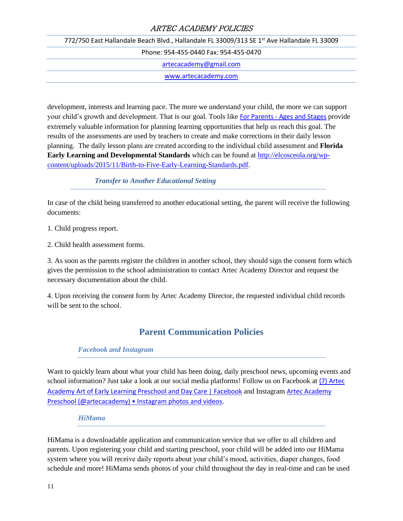772/750 East Hallandale Beach Blvd., Hallandale FL 33009/313 SE 1<sup>st</sup> Ave Hallandale FL 33009 Phone: 954-455-0440 Fax: 954-455-0470 [artecacademy@gmail.com](mailto:artecacademy@gmail.com) [www.artecacademy.com](http://www.artecacademy.com/)

development, interests and learning pace. The more we understand your child, the more we can support your child's growth and development. That is our goal. Tools like For Parents - [Ages and Stages](https://agesandstages.com/about-asq/for-parents/) provide extremely valuable information for planning learning opportunities that help us reach this goal. The results of the assessments are used by teachers to create and make corrections in their daily lesson planning. The daily lesson plans are created according to the individual child assessment and **Florida Early Learning and Developmental Standards** which can be found at [http://elcosceola.org/wp](http://elcosceola.org/wp-content/uploads/2015/11/Birth-to-Five-Early-Learning-Standards.pdf)[content/uploads/2015/11/Birth-to-Five-Early-Learning-Standards.pdf.](http://elcosceola.org/wp-content/uploads/2015/11/Birth-to-Five-Early-Learning-Standards.pdf)

#### *Transfer to Another Educational Setting*

In case of the child being transferred to another educational setting, the parent will receive the following documents:

1. Child progress report.

2. Child health assessment forms.

3. As soon as the parents register the children in another school, they should sign the consent form which gives the permission to the school administration to contact Artec Academy Director and request the necessary documentation about the child.

4. Upon receiving the consent form by Artec Academy Director, the requested individual child records will be sent to the school.

# **Parent Communication Policies**

#### *Facebook and Instagram*

Want to quickly learn about what your child has been doing, daily preschool news, upcoming events and school information? Just take a look at our social media platforms! Follow us on Facebook at [\(7\) Artec](https://www.facebook.com/artecacademy/)  [Academy Art of Early Learning Preschool and Day Care | Facebook](https://www.facebook.com/artecacademy/) and Instagram [Artec Academy](https://www.instagram.com/artecacademy/)  [Preschool \(@artecacademy\) • Insta](https://www.instagram.com/artecacademy/)gram photos and videos.

#### *HiMama*

HiMama is a downloadable application and communication service that we offer to all children and parents. Upon registering your child and starting preschool, your child will be added into our HiMama system where you will receive daily reports about your child's mood, activities, diaper changes, food schedule and more! HiMama sends photos of your child throughout the day in real-time and can be used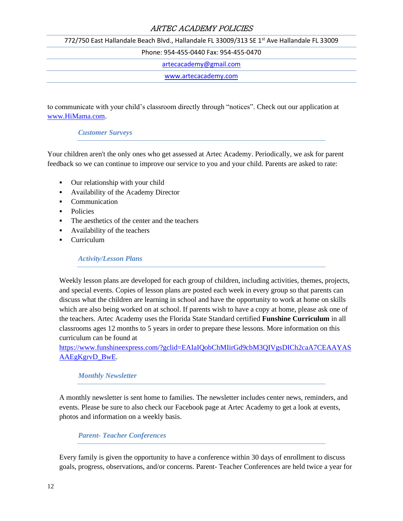772/750 East Hallandale Beach Blvd., Hallandale FL 33009/313 SE 1<sup>st</sup> Ave Hallandale FL 33009

Phone: 954-455-0440 Fax: 954-455-0470

[artecacademy@gmail.com](mailto:artecacademy@gmail.com)

[www.artecacademy.com](http://www.artecacademy.com/)

to communicate with your child's classroom directly through "notices". Check out our application at [www.HiMama.com.](http://www.himama.com/)

#### *Customer Surveys*

Your children aren't the only ones who get assessed at Artec Academy. Periodically, we ask for parent feedback so we can continue to improve our service to you and your child. Parents are asked to rate:

- Our relationship with your child
- Availability of the Academy Director
- Communication
- Policies
- The aesthetics of the center and the teachers
- Availability of the teachers
- Curriculum

#### *Activity/Lesson Plans*

Weekly lesson plans are developed for each group of children, including activities, themes, projects, and special events. Copies of lesson plans are posted each week in every group so that parents can discuss what the children are learning in school and have the opportunity to work at home on skills which are also being worked on at school. If parents wish to have a copy at home, please ask one of the teachers. Artec Academy uses the Florida State Standard certified **Funshine Curriculum** in all classrooms ages 12 months to 5 years in order to prepare these lessons. More information on this curriculum can be found at

[https://www.funshineexpress.com/?gclid=EAIaIQobChMIirGd9cbM3QIVgsDICh2caA7CEAAYAS](https://www.funshineexpress.com/?gclid=EAIaIQobChMIirGd9cbM3QIVgsDICh2caA7CEAAYASAAEgKgrvD_BwE) [AAEgKgrvD\\_BwE.](https://www.funshineexpress.com/?gclid=EAIaIQobChMIirGd9cbM3QIVgsDICh2caA7CEAAYASAAEgKgrvD_BwE)

#### *Monthly Newsletter*

A monthly newsletter is sent home to families. The newsletter includes center news, reminders, and events. Please be sure to also check our Facebook page at Artec Academy to get a look at events, photos and information on a weekly basis.

# *Parent- Teacher Conferences*

Every family is given the opportunity to have a conference within 30 days of enrollment to discuss goals, progress, observations, and/or concerns. Parent- Teacher Conferences are held twice a year for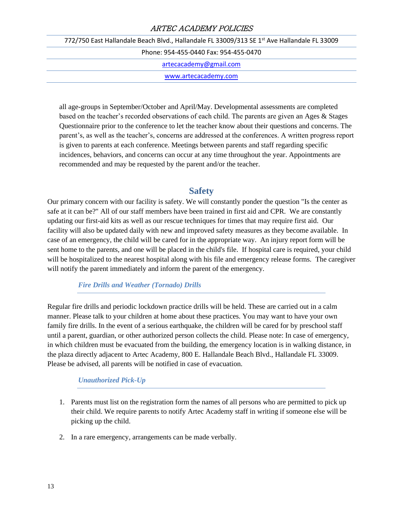772/750 East Hallandale Beach Blvd., Hallandale FL 33009/313 SE 1<sup>st</sup> Ave Hallandale FL 33009

Phone: 954-455-0440 Fax: 954-455-0470

[artecacademy@gmail.com](mailto:artecacademy@gmail.com)

[www.artecacademy.com](http://www.artecacademy.com/)

all age-groups in September/October and April/May. Developmental assessments are completed based on the teacher's recorded observations of each child. The parents are given an Ages & Stages Questionnaire prior to the conference to let the teacher know about their questions and concerns. The parent's, as well as the teacher's, concerns are addressed at the conferences. A written progress report is given to parents at each conference. Meetings between parents and staff regarding specific incidences, behaviors, and concerns can occur at any time throughout the year. Appointments are recommended and may be requested by the parent and/or the teacher.

# **Safety**

Our primary concern with our facility is safety. We will constantly ponder the question "Is the center as safe at it can be?" All of our staff members have been trained in first aid and CPR. We are constantly updating our first-aid kits as well as our rescue techniques for times that may require first aid. Our facility will also be updated daily with new and improved safety measures as they become available. In case of an emergency, the child will be cared for in the appropriate way. An injury report form will be sent home to the parents, and one will be placed in the child's file. If hospital care is required, your child will be hospitalized to the nearest hospital along with his file and emergency release forms. The caregiver will notify the parent immediately and inform the parent of the emergency.

#### *Fire Drills and Weather (Tornado) Drills*

Regular fire drills and periodic lockdown practice drills will be held. These are carried out in a calm manner. Please talk to your children at home about these practices. You may want to have your own family fire drills. In the event of a serious earthquake, the children will be cared for by preschool staff until a parent, guardian, or other authorized person collects the child. Please note: In case of emergency, in which children must be evacuated from the building, the emergency location is in walking distance, in the plaza directly adjacent to Artec Academy, 800 E. Hallandale Beach Blvd., Hallandale FL 33009. Please be advised, all parents will be notified in case of evacuation.

# *Unauthorized Pick-Up*

- 1. Parents must list on the registration form the names of all persons who are permitted to pick up their child. We require parents to notify Artec Academy staff in writing if someone else will be picking up the child.
- 2. In a rare emergency, arrangements can be made verbally.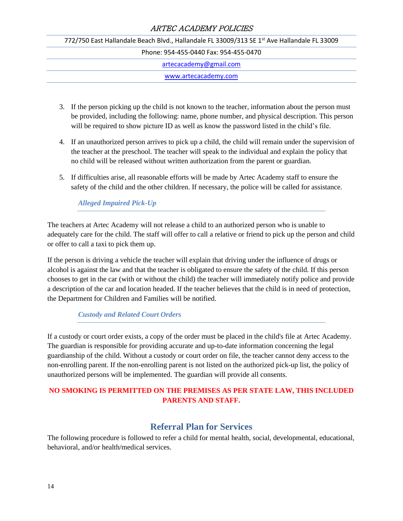772/750 East Hallandale Beach Blvd., Hallandale FL 33009/313 SE 1<sup>st</sup> Ave Hallandale FL 33009 Phone: 954-455-0440 Fax: 954-455-0470 [artecacademy@gmail.com](mailto:artecacademy@gmail.com) [www.artecacademy.com](http://www.artecacademy.com/)

- 3. If the person picking up the child is not known to the teacher, information about the person must be provided, including the following: name, phone number, and physical description. This person will be required to show picture ID as well as know the password listed in the child's file.
- 4. If an unauthorized person arrives to pick up a child, the child will remain under the supervision of the teacher at the preschool. The teacher will speak to the individual and explain the policy that no child will be released without written authorization from the parent or guardian.
- 5. If difficulties arise, all reasonable efforts will be made by Artec Academy staff to ensure the safety of the child and the other children. If necessary, the police will be called for assistance.

# *Alleged Impaired Pick-Up*

The teachers at Artec Academy will not release a child to an authorized person who is unable to adequately care for the child. The staff will offer to call a relative or friend to pick up the person and child or offer to call a taxi to pick them up.

If the person is driving a vehicle the teacher will explain that driving under the influence of drugs or alcohol is against the law and that the teacher is obligated to ensure the safety of the child. If this person chooses to get in the car (with or without the child) the teacher will immediately notify police and provide a description of the car and location headed. If the teacher believes that the child is in need of protection, the Department for Children and Families will be notified.

#### *Custody and Related Court Orders*

If a custody or court order exists, a copy of the order must be placed in the child's file at Artec Academy. The guardian is responsible for providing accurate and up-to-date information concerning the legal guardianship of the child. Without a custody or court order on file, the teacher cannot deny access to the non-enrolling parent. If the non-enrolling parent is not listed on the authorized pick-up list, the policy of unauthorized persons will be implemented. The guardian will provide all consents.

# **NO SMOKING IS PERMITTED ON THE PREMISES AS PER STATE LAW, THIS INCLUDED PARENTS AND STAFF.**

# **Referral Plan for Services**

The following procedure is followed to refer a child for mental health, social, developmental, educational, behavioral, and/or health/medical services.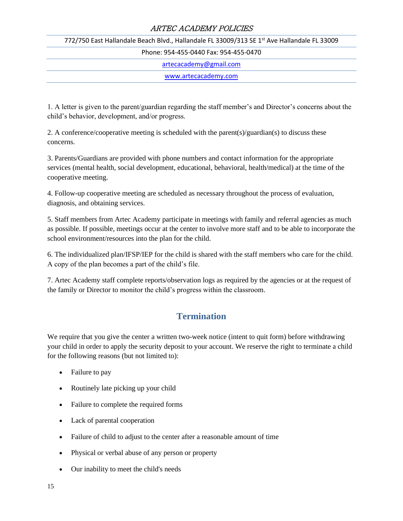772/750 East Hallandale Beach Blvd., Hallandale FL 33009/313 SE 1<sup>st</sup> Ave Hallandale FL 33009

Phone: 954-455-0440 Fax: 954-455-0470

[artecacademy@gmail.com](mailto:artecacademy@gmail.com)

[www.artecacademy.com](http://www.artecacademy.com/)

1. A letter is given to the parent/guardian regarding the staff member's and Director's concerns about the child's behavior, development, and/or progress.

2. A conference/cooperative meeting is scheduled with the parent(s)/guardian(s) to discuss these concerns.

3. Parents/Guardians are provided with phone numbers and contact information for the appropriate services (mental health, social development, educational, behavioral, health/medical) at the time of the cooperative meeting.

4. Follow-up cooperative meeting are scheduled as necessary throughout the process of evaluation, diagnosis, and obtaining services.

5. Staff members from Artec Academy participate in meetings with family and referral agencies as much as possible. If possible, meetings occur at the center to involve more staff and to be able to incorporate the school environment/resources into the plan for the child.

6. The individualized plan/IFSP/IEP for the child is shared with the staff members who care for the child. A copy of the plan becomes a part of the child's file.

7. Artec Academy staff complete reports/observation logs as required by the agencies or at the request of the family or Director to monitor the child's progress within the classroom.

# **Termination**

We require that you give the center a written two-week notice (intent to quit form) before withdrawing your child in order to apply the security deposit to your account. We reserve the right to terminate a child for the following reasons (but not limited to):

- Failure to pay
- Routinely late picking up your child
- Failure to complete the required forms
- Lack of parental cooperation
- Failure of child to adjust to the center after a reasonable amount of time
- Physical or verbal abuse of any person or property
- Our inability to meet the child's needs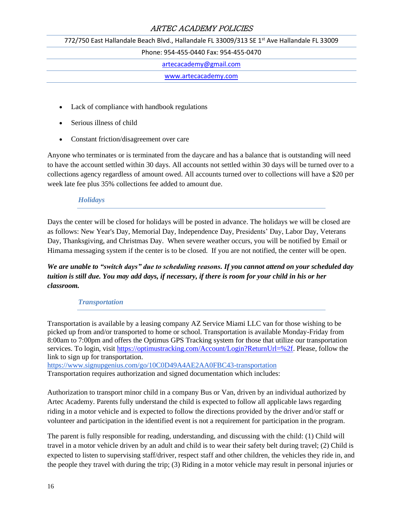772/750 East Hallandale Beach Blvd., Hallandale FL 33009/313 SE 1<sup>st</sup> Ave Hallandale FL 33009

Phone: 954-455-0440 Fax: 954-455-0470

[artecacademy@gmail.com](mailto:artecacademy@gmail.com)

[www.artecacademy.com](http://www.artecacademy.com/)

- Lack of compliance with handbook regulations
- Serious illness of child
- Constant friction/disagreement over care

Anyone who terminates or is terminated from the daycare and has a balance that is outstanding will need to have the account settled within 30 days. All accounts not settled within 30 days will be turned over to a collections agency regardless of amount owed. All accounts turned over to collections will have a \$20 per week late fee plus 35% collections fee added to amount due.

#### *Holidays*

Days the center will be closed for holidays will be posted in advance. The holidays we will be closed are as follows: New Year's Day, Memorial Day, Independence Day, Presidents' Day, Labor Day, Veterans Day, Thanksgiving, and Christmas Day. When severe weather occurs, you will be notified by Email or Himama messaging system if the center is to be closed. If you are not notified, the center will be open.

*We are unable to "switch days" due to scheduling reasons. If you cannot attend on your scheduled day tuition is still due. You may add days, if necessary, if there is room for your child in his or her classroom.* 

#### *Transportation*

Transportation is available by a leasing company AZ Service Miami LLC van for those wishing to be picked up from and/or transported to home or school. Transportation is available Monday-Friday from 8:00am to 7:00pm and offers the Optimus GPS Tracking system for those that utilize our transportation services. To login, visi[t https://optimustracking.com/Account/Login?ReturnUrl=%2f.](https://optimustracking.com/Account/Login?ReturnUrl=%2f) Please, follow the link to sign up for transportation.

<https://www.signupgenius.com/go/10C0D49A4AE2AA0FBC43-transportation> Transportation requires authorization and signed documentation which includes:

Authorization to transport minor child in a company Bus or Van, driven by an individual authorized by Artec Academy. Parents fully understand the child is expected to follow all applicable laws regarding riding in a motor vehicle and is expected to follow the directions provided by the driver and/or staff or volunteer and participation in the identified event is not a requirement for participation in the program.

The parent is fully responsible for reading, understanding, and discussing with the child: (1) Child will travel in a motor vehicle driven by an adult and child is to wear their safety belt during travel; (2) Child is expected to listen to supervising staff/driver, respect staff and other children, the vehicles they ride in, and the people they travel with during the trip; (3) Riding in a motor vehicle may result in personal injuries or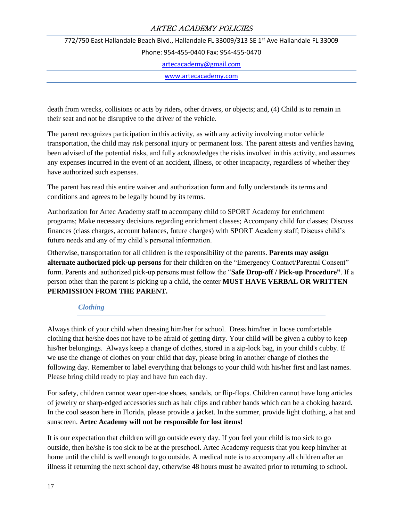772/750 East Hallandale Beach Blvd., Hallandale FL 33009/313 SE 1<sup>st</sup> Ave Hallandale FL 33009 Phone: 954-455-0440 Fax: 954-455-0470 [artecacademy@gmail.com](mailto:artecacademy@gmail.com) [www.artecacademy.com](http://www.artecacademy.com/)

death from wrecks, collisions or acts by riders, other drivers, or objects; and, (4) Child is to remain in their seat and not be disruptive to the driver of the vehicle.

The parent recognizes participation in this activity, as with any activity involving motor vehicle transportation, the child may risk personal injury or permanent loss. The parent attests and verifies having been advised of the potential risks, and fully acknowledges the risks involved in this activity, and assumes any expenses incurred in the event of an accident, illness, or other incapacity, regardless of whether they have authorized such expenses.

The parent has read this entire waiver and authorization form and fully understands its terms and conditions and agrees to be legally bound by its terms.

Authorization for Artec Academy staff to accompany child to SPORT Academy for enrichment programs; Make necessary decisions regarding enrichment classes; Accompany child for classes; Discuss finances (class charges, account balances, future charges) with SPORT Academy staff; Discuss child's future needs and any of my child's personal information.

Otherwise, transportation for all children is the responsibility of the parents. **Parents may assign alternate authorized pick-up persons** for their children on the "Emergency Contact/Parental Consent" form. Parents and authorized pick-up persons must follow the "**Safe Drop-off / Pick-up Procedure"**. If a person other than the parent is picking up a child, the center **MUST HAVE VERBAL OR WRITTEN PERMISSION FROM THE PARENT.**

#### *Clothing*

Always think of your child when dressing him/her for school. Dress him/her in loose comfortable clothing that he/she does not have to be afraid of getting dirty. Your child will be given a cubby to keep his/her belongings. Always keep a change of clothes, stored in a zip-lock bag, in your child's cubby. If we use the change of clothes on your child that day, please bring in another change of clothes the following day. Remember to label everything that belongs to your child with his/her first and last names. Please bring child ready to play and have fun each day.

For safety, children cannot wear open-toe shoes, sandals, or flip-flops. Children cannot have long articles of jewelry or sharp-edged accessories such as hair clips and rubber bands which can be a choking hazard. In the cool season here in Florida, please provide a jacket. In the summer, provide light clothing, a hat and sunscreen. **Artec Academy will not be responsible for lost items!**

It is our expectation that children will go outside every day. If you feel your child is too sick to go outside, then he/she is too sick to be at the preschool. Artec Academy requests that you keep him/her at home until the child is well enough to go outside. A medical note is to accompany all children after an illness if returning the next school day, otherwise 48 hours must be awaited prior to returning to school.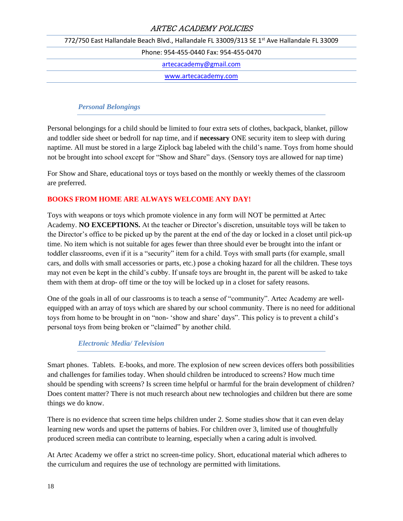772/750 East Hallandale Beach Blvd., Hallandale FL 33009/313 SE 1<sup>st</sup> Ave Hallandale FL 33009

Phone: 954-455-0440 Fax: 954-455-0470

[artecacademy@gmail.com](mailto:artecacademy@gmail.com)

[www.artecacademy.com](http://www.artecacademy.com/)

#### *Personal Belongings*

Personal belongings for a child should be limited to four extra sets of clothes, backpack, blanket, pillow and toddler side sheet or bedroll for nap time, and if **necessary** ONE security item to sleep with during naptime. All must be stored in a large Ziplock bag labeled with the child's name. Toys from home should not be brought into school except for "Show and Share" days. (Sensory toys are allowed for nap time)

For Show and Share, educational toys or toys based on the monthly or weekly themes of the classroom are preferred.

#### **BOOKS FROM HOME ARE ALWAYS WELCOME ANY DAY!**

Toys with weapons or toys which promote violence in any form will NOT be permitted at Artec Academy. **NO EXCEPTIONS.** At the teacher or Director's discretion, unsuitable toys will be taken to the Director's office to be picked up by the parent at the end of the day or locked in a closet until pick-up time. No item which is not suitable for ages fewer than three should ever be brought into the infant or toddler classrooms, even if it is a "security" item for a child. Toys with small parts (for example, small cars, and dolls with small accessories or parts, etc.) pose a choking hazard for all the children. These toys may not even be kept in the child's cubby. If unsafe toys are brought in, the parent will be asked to take them with them at drop- off time or the toy will be locked up in a closet for safety reasons.

One of the goals in all of our classrooms is to teach a sense of "community". Artec Academy are wellequipped with an array of toys which are shared by our school community. There is no need for additional toys from home to be brought in on "non- 'show and share' days". This policy is to prevent a child's personal toys from being broken or "claimed" by another child.

#### *Electronic Media/ Television*

Smart phones. Tablets. E-books, and more. The explosion of new screen devices offers both possibilities and challenges for families today. When should children be introduced to screens? How much time should be spending with screens? Is screen time helpful or harmful for the brain development of children? Does content matter? There is not much research about new technologies and children but there are some things we do know.

There is no evidence that screen time helps children under 2. Some studies show that it can even delay learning new words and upset the patterns of babies. For children over 3, limited use of thoughtfully produced screen media can contribute to learning, especially when a caring adult is involved.

At Artec Academy we offer a strict no screen-time policy. Short, educational material which adheres to the curriculum and requires the use of technology are permitted with limitations.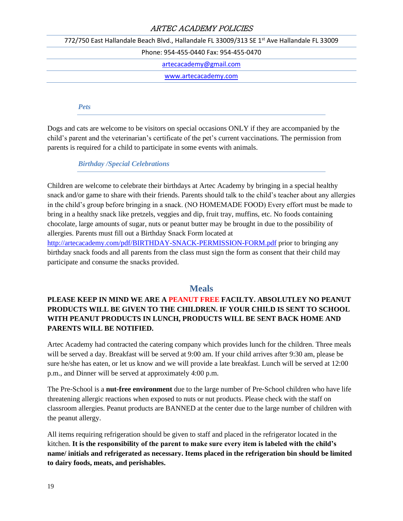772/750 East Hallandale Beach Blvd., Hallandale FL 33009/313 SE 1<sup>st</sup> Ave Hallandale FL 33009

Phone: 954-455-0440 Fax: 954-455-0470

[artecacademy@gmail.com](mailto:artecacademy@gmail.com)

[www.artecacademy.com](http://www.artecacademy.com/)

*Pets* 

Dogs and cats are welcome to be visitors on special occasions ONLY if they are accompanied by the child's parent and the veterinarian's certificate of the pet's current vaccinations. The permission from parents is required for a child to participate in some events with animals.

*Birthday /Special Celebrations* 

Children are welcome to celebrate their birthdays at Artec Academy by bringing in a special healthy snack and/or game to share with their friends. Parents should talk to the child's teacher about any allergies in the child's group before bringing in a snack. (NO HOMEMADE FOOD) Every effort must be made to bring in a healthy snack like pretzels, veggies and dip, fruit tray, muffins, etc. No foods containing chocolate, large amounts of sugar, nuts or peanut butter may be brought in due to the possibility of allergies. Parents must fill out a Birthday Snack Form located at

<http://artecacademy.com/pdf/BIRTHDAY-SNACK-PERMISSION-FORM.pdf> prior to bringing any birthday snack foods and all parents from the class must sign the form as consent that their child may participate and consume the snacks provided.

# **Meals**

# **PLEASE KEEP IN MIND WE ARE A PEANUT FREE FACILTY. ABSOLUTLEY NO PEANUT PRODUCTS WILL BE GIVEN TO THE CHILDREN. IF YOUR CHILD IS SENT TO SCHOOL WITH PEANUT PRODUCTS IN LUNCH, PRODUCTS WILL BE SENT BACK HOME AND PARENTS WILL BE NOTIFIED.**

Artec Academy had contracted the catering company which provides lunch for the children. Three meals will be served a day. Breakfast will be served at 9:00 am. If your child arrives after 9:30 am, please be sure he/she has eaten, or let us know and we will provide a late breakfast. Lunch will be served at 12:00 p.m., and Dinner will be served at approximately 4:00 p.m.

The Pre-School is a **nut-free environment** due to the large number of Pre-School children who have life threatening allergic reactions when exposed to nuts or nut products. Please check with the staff on classroom allergies. Peanut products are BANNED at the center due to the large number of children with the peanut allergy.

All items requiring refrigeration should be given to staff and placed in the refrigerator located in the kitchen. **It is the responsibility of the parent to make sure every item is labeled with the child's name/ initials and refrigerated as necessary. Items placed in the refrigeration bin should be limited to dairy foods, meats, and perishables.**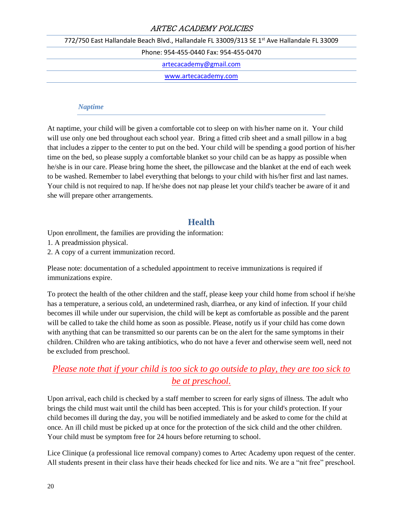772/750 East Hallandale Beach Blvd., Hallandale FL 33009/313 SE 1<sup>st</sup> Ave Hallandale FL 33009

Phone: 954-455-0440 Fax: 954-455-0470

[artecacademy@gmail.com](mailto:artecacademy@gmail.com)

[www.artecacademy.com](http://www.artecacademy.com/)

#### *Naptime*

At naptime, your child will be given a comfortable cot to sleep on with his/her name on it. Your child will use only one bed throughout each school year. Bring a fitted crib sheet and a small pillow in a bag that includes a zipper to the center to put on the bed. Your child will be spending a good portion of his/her time on the bed, so please supply a comfortable blanket so your child can be as happy as possible when he/she is in our care. Please bring home the sheet, the pillowcase and the blanket at the end of each week to be washed. Remember to label everything that belongs to your child with his/her first and last names. Your child is not required to nap. If he/she does not nap please let your child's teacher be aware of it and she will prepare other arrangements.

# **Health**

Upon enrollment, the families are providing the information:

1. A preadmission physical.

2. A copy of a current immunization record.

Please note: documentation of a scheduled appointment to receive immunizations is required if immunizations expire.

To protect the health of the other children and the staff, please keep your child home from school if he/she has a temperature, a serious cold, an undetermined rash, diarrhea, or any kind of infection. If your child becomes ill while under our supervision, the child will be kept as comfortable as possible and the parent will be called to take the child home as soon as possible. Please, notify us if your child has come down with anything that can be transmitted so our parents can be on the alert for the same symptoms in their children. Children who are taking antibiotics, who do not have a fever and otherwise seem well, need not be excluded from preschool.

# *Please note that if your child is too sick to go outside to play, they are too sick to be at preschool.*

Upon arrival, each child is checked by a staff member to screen for early signs of illness. The adult who brings the child must wait until the child has been accepted. This is for your child's protection. If your child becomes ill during the day, you will be notified immediately and be asked to come for the child at once. An ill child must be picked up at once for the protection of the sick child and the other children. Your child must be symptom free for 24 hours before returning to school.

Lice Clinique (a professional lice removal company) comes to Artec Academy upon request of the center. All students present in their class have their heads checked for lice and nits. We are a "nit free" preschool.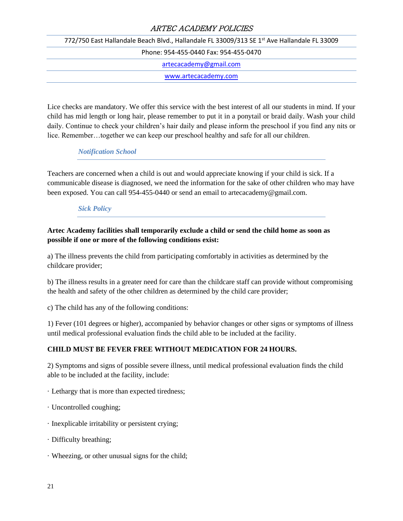772/750 East Hallandale Beach Blvd., Hallandale FL 33009/313 SE 1<sup>st</sup> Ave Hallandale FL 33009 Phone: 954-455-0440 Fax: 954-455-0470 [artecacademy@gmail.com](mailto:artecacademy@gmail.com) [www.artecacademy.com](http://www.artecacademy.com/)

Lice checks are mandatory. We offer this service with the best interest of all our students in mind. If your child has mid length or long hair, please remember to put it in a ponytail or braid daily. Wash your child daily. Continue to check your children's hair daily and please inform the preschool if you find any nits or lice. Remember…together we can keep our preschool healthy and safe for all our children.

## *Notification School*

Teachers are concerned when a child is out and would appreciate knowing if your child is sick. If a communicable disease is diagnosed, we need the information for the sake of other children who may have been exposed. You can call 954-455-0440 or send an email to artecacademy@gmail.com.

#### *Sick Policy*

#### **Artec Academy facilities shall temporarily exclude a child or send the child home as soon as possible if one or more of the following conditions exist:**

a) The illness prevents the child from participating comfortably in activities as determined by the childcare provider;

b) The illness results in a greater need for care than the childcare staff can provide without compromising the health and safety of the other children as determined by the child care provider;

c) The child has any of the following conditions:

1) Fever (101 degrees or higher), accompanied by behavior changes or other signs or symptoms of illness until medical professional evaluation finds the child able to be included at the facility.

#### **CHILD MUST BE FEVER FREE WITHOUT MEDICATION FOR 24 HOURS.**

2) Symptoms and signs of possible severe illness, until medical professional evaluation finds the child able to be included at the facility, include:

- · Lethargy that is more than expected tiredness;
- · Uncontrolled coughing;
- · Inexplicable irritability or persistent crying;
- · Difficulty breathing;
- · Wheezing, or other unusual signs for the child;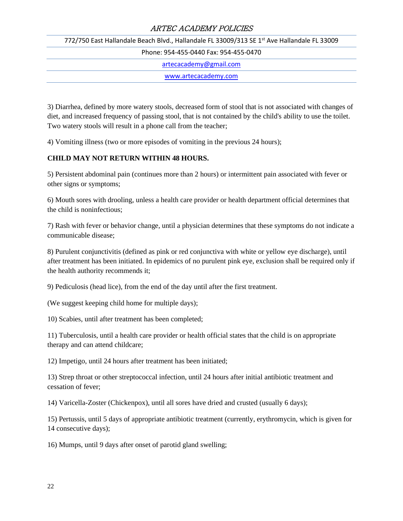772/750 East Hallandale Beach Blvd., Hallandale FL 33009/313 SE 1<sup>st</sup> Ave Hallandale FL 33009

Phone: 954-455-0440 Fax: 954-455-0470

[artecacademy@gmail.com](mailto:artecacademy@gmail.com)

[www.artecacademy.com](http://www.artecacademy.com/)

3) Diarrhea, defined by more watery stools, decreased form of stool that is not associated with changes of diet, and increased frequency of passing stool, that is not contained by the child's ability to use the toilet. Two watery stools will result in a phone call from the teacher;

4) Vomiting illness (two or more episodes of vomiting in the previous 24 hours);

## **CHILD MAY NOT RETURN WITHIN 48 HOURS.**

5) Persistent abdominal pain (continues more than 2 hours) or intermittent pain associated with fever or other signs or symptoms;

6) Mouth sores with drooling, unless a health care provider or health department official determines that the child is noninfectious;

7) Rash with fever or behavior change, until a physician determines that these symptoms do not indicate a communicable disease;

8) Purulent conjunctivitis (defined as pink or red conjunctiva with white or yellow eye discharge), until after treatment has been initiated. In epidemics of no purulent pink eye, exclusion shall be required only if the health authority recommends it;

9) Pediculosis (head lice), from the end of the day until after the first treatment.

(We suggest keeping child home for multiple days);

10) Scabies, until after treatment has been completed;

11) Tuberculosis, until a health care provider or health official states that the child is on appropriate therapy and can attend childcare;

12) Impetigo, until 24 hours after treatment has been initiated;

13) Strep throat or other streptococcal infection, until 24 hours after initial antibiotic treatment and cessation of fever;

14) Varicella-Zoster (Chickenpox), until all sores have dried and crusted (usually 6 days);

15) Pertussis, until 5 days of appropriate antibiotic treatment (currently, erythromycin, which is given for 14 consecutive days);

16) Mumps, until 9 days after onset of parotid gland swelling;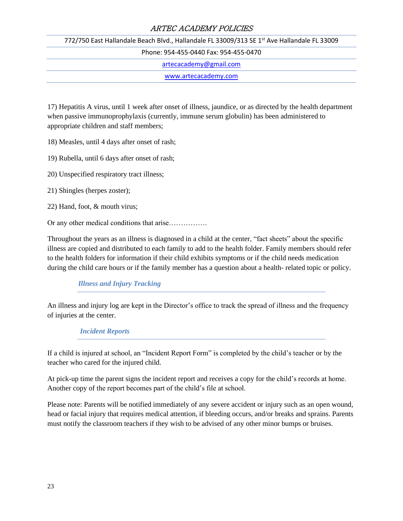772/750 East Hallandale Beach Blvd., Hallandale FL 33009/313 SE 1<sup>st</sup> Ave Hallandale FL 33009

Phone: 954-455-0440 Fax: 954-455-0470

[artecacademy@gmail.com](mailto:artecacademy@gmail.com)

[www.artecacademy.com](http://www.artecacademy.com/)

17) Hepatitis A virus, until 1 week after onset of illness, jaundice, or as directed by the health department when passive immunoprophylaxis (currently, immune serum globulin) has been administered to appropriate children and staff members;

18) Measles, until 4 days after onset of rash;

19) Rubella, until 6 days after onset of rash;

20) Unspecified respiratory tract illness;

21) Shingles (herpes zoster);

22) Hand, foot, & mouth virus;

Or any other medical conditions that arise…………….

Throughout the years as an illness is diagnosed in a child at the center, "fact sheets" about the specific illness are copied and distributed to each family to add to the health folder. Family members should refer to the health folders for information if their child exhibits symptoms or if the child needs medication during the child care hours or if the family member has a question about a health- related topic or policy.

#### *Illness and Injury Tracking*

An illness and injury log are kept in the Director's office to track the spread of illness and the frequency of injuries at the center.

*Incident Reports* 

If a child is injured at school, an "Incident Report Form" is completed by the child's teacher or by the teacher who cared for the injured child.

At pick-up time the parent signs the incident report and receives a copy for the child's records at home. Another copy of the report becomes part of the child's file at school.

Please note: Parents will be notified immediately of any severe accident or injury such as an open wound, head or facial injury that requires medical attention, if bleeding occurs, and/or breaks and sprains. Parents must notify the classroom teachers if they wish to be advised of any other minor bumps or bruises.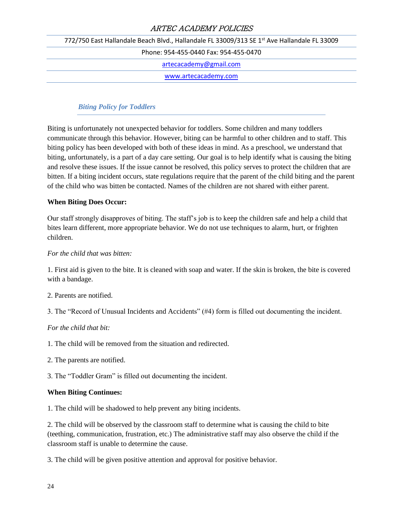772/750 East Hallandale Beach Blvd., Hallandale FL 33009/313 SE 1<sup>st</sup> Ave Hallandale FL 33009 Phone: 954-455-0440 Fax: 954-455-0470 [artecacademy@gmail.com](mailto:artecacademy@gmail.com) [www.artecacademy.com](http://www.artecacademy.com/)

#### *Biting Policy for Toddlers*

Biting is unfortunately not unexpected behavior for toddlers. Some children and many toddlers communicate through this behavior. However, biting can be harmful to other children and to staff. This biting policy has been developed with both of these ideas in mind. As a preschool, we understand that biting, unfortunately, is a part of a day care setting. Our goal is to help identify what is causing the biting and resolve these issues. If the issue cannot be resolved, this policy serves to protect the children that are bitten. If a biting incident occurs, state regulations require that the parent of the child biting and the parent of the child who was bitten be contacted. Names of the children are not shared with either parent.

#### **When Biting Does Occur:**

Our staff strongly disapproves of biting. The staff's job is to keep the children safe and help a child that bites learn different, more appropriate behavior. We do not use techniques to alarm, hurt, or frighten children.

#### *For the child that was bitten:*

1. First aid is given to the bite. It is cleaned with soap and water. If the skin is broken, the bite is covered with a bandage.

2. Parents are notified.

3. The "Record of Unusual Incidents and Accidents" (#4) form is filled out documenting the incident.

#### *For the child that bit:*

1. The child will be removed from the situation and redirected.

- 2. The parents are notified.
- 3. The "Toddler Gram" is filled out documenting the incident.

#### **When Biting Continues:**

1. The child will be shadowed to help prevent any biting incidents.

2. The child will be observed by the classroom staff to determine what is causing the child to bite (teething, communication, frustration, etc.) The administrative staff may also observe the child if the classroom staff is unable to determine the cause.

3. The child will be given positive attention and approval for positive behavior.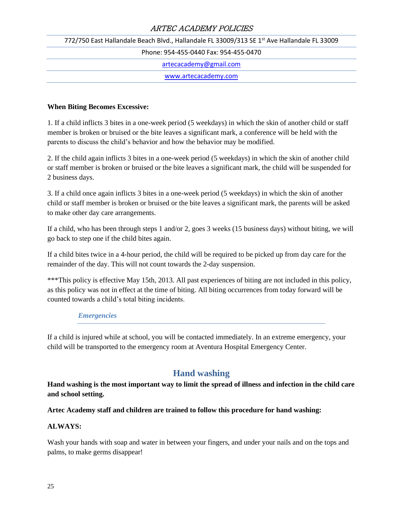772/750 East Hallandale Beach Blvd., Hallandale FL 33009/313 SE 1<sup>st</sup> Ave Hallandale FL 33009

Phone: 954-455-0440 Fax: 954-455-0470

[artecacademy@gmail.com](mailto:artecacademy@gmail.com)

[www.artecacademy.com](http://www.artecacademy.com/)

#### **When Biting Becomes Excessive:**

1. If a child inflicts 3 bites in a one-week period (5 weekdays) in which the skin of another child or staff member is broken or bruised or the bite leaves a significant mark, a conference will be held with the parents to discuss the child's behavior and how the behavior may be modified.

2. If the child again inflicts 3 bites in a one-week period (5 weekdays) in which the skin of another child or staff member is broken or bruised or the bite leaves a significant mark, the child will be suspended for 2 business days.

3. If a child once again inflicts 3 bites in a one-week period (5 weekdays) in which the skin of another child or staff member is broken or bruised or the bite leaves a significant mark, the parents will be asked to make other day care arrangements.

If a child, who has been through steps 1 and/or 2, goes 3 weeks (15 business days) without biting, we will go back to step one if the child bites again.

If a child bites twice in a 4-hour period, the child will be required to be picked up from day care for the remainder of the day. This will not count towards the 2-day suspension.

\*\*\*This policy is effective May 15th, 2013. All past experiences of biting are not included in this policy, as this policy was not in effect at the time of biting. All biting occurrences from today forward will be counted towards a child's total biting incidents.

#### *Emergencies*

If a child is injured while at school, you will be contacted immediately. In an extreme emergency, your child will be transported to the emergency room at Aventura Hospital Emergency Center.

# **Hand washing**

**Hand washing is the most important way to limit the spread of illness and infection in the child care and school setting.** 

#### **Artec Academy staff and children are trained to follow this procedure for hand washing:**

#### **ALWAYS:**

Wash your hands with soap and water in between your fingers, and under your nails and on the tops and palms, to make germs disappear!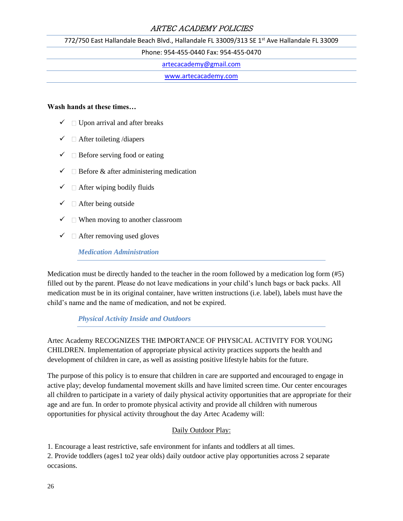772/750 East Hallandale Beach Blvd., Hallandale FL 33009/313 SE 1<sup>st</sup> Ave Hallandale FL 33009

Phone: 954-455-0440 Fax: 954-455-0470

[artecacademy@gmail.com](mailto:artecacademy@gmail.com)

[www.artecacademy.com](http://www.artecacademy.com/)

#### **Wash hands at these times…**

- $\checkmark$  Upon arrival and after breaks
- $\checkmark$   $\Box$  After toileting /diapers
- $\checkmark$   $\Box$  Before serving food or eating
- $\checkmark$  Before & after administering medication
- $\checkmark$   $\Box$  After wiping bodily fluids
- $\checkmark$   $\Box$  After being outside
- $\checkmark$  When moving to another classroom
- $\checkmark$   $\Box$  After removing used gloves

*Medication Administration* 

Medication must be directly handed to the teacher in the room followed by a medication log form (#5) filled out by the parent. Please do not leave medications in your child's lunch bags or back packs. All medication must be in its original container, have written instructions (i.e. label), labels must have the child's name and the name of medication, and not be expired.

#### *Physical Activity Inside and Outdoors*

Artec Academy RECOGNIZES THE IMPORTANCE OF PHYSICAL ACTIVITY FOR YOUNG CHILDREN. Implementation of appropriate physical activity practices supports the health and development of children in care, as well as assisting positive lifestyle habits for the future.

The purpose of this policy is to ensure that children in care are supported and encouraged to engage in active play; develop fundamental movement skills and have limited screen time. Our center encourages all children to participate in a variety of daily physical activity opportunities that are appropriate for their age and are fun. In order to promote physical activity and provide all children with numerous opportunities for physical activity throughout the day Artec Academy will:

#### Daily Outdoor Play:

1. Encourage a least restrictive, safe environment for infants and toddlers at all times.

2. Provide toddlers (ages1 to2 year olds) daily outdoor active play opportunities across 2 separate occasions.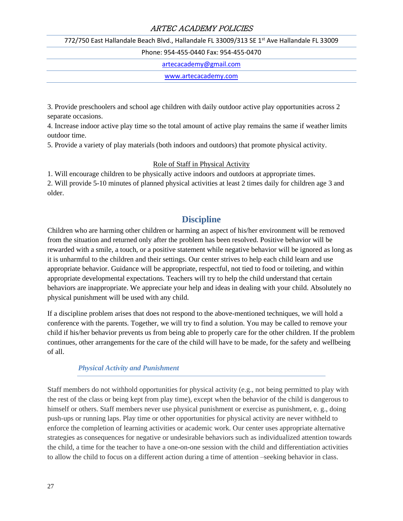772/750 East Hallandale Beach Blvd., Hallandale FL 33009/313 SE 1<sup>st</sup> Ave Hallandale FL 33009

Phone: 954-455-0440 Fax: 954-455-0470

[artecacademy@gmail.com](mailto:artecacademy@gmail.com)

[www.artecacademy.com](http://www.artecacademy.com/)

3. Provide preschoolers and school age children with daily outdoor active play opportunities across 2 separate occasions.

4. Increase indoor active play time so the total amount of active play remains the same if weather limits outdoor time.

5. Provide a variety of play materials (both indoors and outdoors) that promote physical activity.

#### Role of Staff in Physical Activity

1. Will encourage children to be physically active indoors and outdoors at appropriate times.

2. Will provide 5-10 minutes of planned physical activities at least 2 times daily for children age 3 and older.

# **Discipline**

Children who are harming other children or harming an aspect of his/her environment will be removed from the situation and returned only after the problem has been resolved. Positive behavior will be rewarded with a smile, a touch, or a positive statement while negative behavior will be ignored as long as it is unharmful to the children and their settings. Our center strives to help each child learn and use appropriate behavior. Guidance will be appropriate, respectful, not tied to food or toileting, and within appropriate developmental expectations. Teachers will try to help the child understand that certain behaviors are inappropriate. We appreciate your help and ideas in dealing with your child. Absolutely no physical punishment will be used with any child.

If a discipline problem arises that does not respond to the above-mentioned techniques, we will hold a conference with the parents. Together, we will try to find a solution. You may be called to remove your child if his/her behavior prevents us from being able to properly care for the other children. If the problem continues, other arrangements for the care of the child will have to be made, for the safety and wellbeing of all.

#### *Physical Activity and Punishment*

Staff members do not withhold opportunities for physical activity (e.g., not being permitted to play with the rest of the class or being kept from play time), except when the behavior of the child is dangerous to himself or others. Staff members never use physical punishment or exercise as punishment, e. g., doing push-ups or running laps. Play time or other opportunities for physical activity are never withheld to enforce the completion of learning activities or academic work. Our center uses appropriate alternative strategies as consequences for negative or undesirable behaviors such as individualized attention towards the child, a time for the teacher to have a one-on-one session with the child and differentiation activities to allow the child to focus on a different action during a time of attention –seeking behavior in class.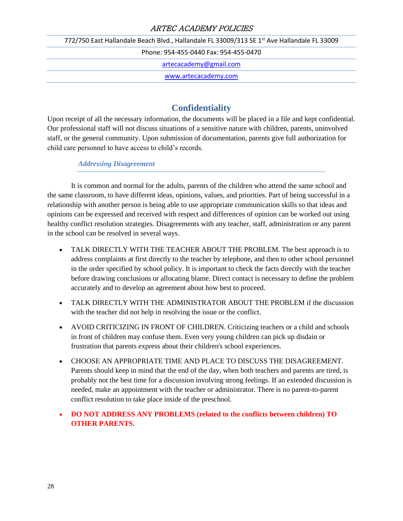772/750 East Hallandale Beach Blvd., Hallandale FL 33009/313 SE 1<sup>st</sup> Ave Hallandale FL 33009

Phone: 954-455-0440 Fax: 954-455-0470

[artecacademy@gmail.com](mailto:artecacademy@gmail.com)

[www.artecacademy.com](http://www.artecacademy.com/)

# **Confidentiality**

Upon receipt of all the necessary information, the documents will be placed in a file and kept confidential. Our professional staff will not discuss situations of a sensitive nature with children, parents, uninvolved staff, or the general community. Upon submission of documentation, parents give full authorization for child care personnel to have access to child's records.

*Addressing Disagreement* 

It is common and normal for the adults, parents of the children who attend the same school and the same classroom, to have different ideas, opinions, values, and priorities. Part of being successful in a relationship with another person is being able to use appropriate communication skills so that ideas and opinions can be expressed and received with respect and differences of opinion can be worked out using healthy conflict resolution strategies. Disagreements with any teacher, staff, administration or any parent in the school can be resolved in several ways.

- TALK DIRECTLY WITH THE TEACHER ABOUT THE PROBLEM. The best approach is to address complaints at first directly to the teacher by telephone, and then to other school personnel in the order specified by school policy. It is important to check the facts directly with the teacher before drawing conclusions or allocating blame. Direct contact is necessary to define the problem accurately and to develop an agreement about how best to proceed.
- TALK DIRECTLY WITH THE ADMINISTRATOR ABOUT THE PROBLEM if the discussion with the teacher did not help in resolving the issue or the conflict.
- AVOID CRITICIZING IN FRONT OF CHILDREN. Criticizing teachers or a child and schools in front of children may confuse them. Even very young children can pick up disdain or frustration that parents express about their children's school experiences.
- CHOOSE AN APPROPRIATE TIME AND PLACE TO DISCUSS THE DISAGREEMENT. Parents should keep in mind that the end of the day, when both teachers and parents are tired, is probably not the best time for a discussion involving strong feelings. If an extended discussion is needed, make an appointment with the teacher or administrator. There is no parent-to-parent conflict resolution to take place inside of the preschool.
- **DO NOT ADDRESS ANY PROBLEMS (related to the conflicts between children) TO OTHER PARENTS.**